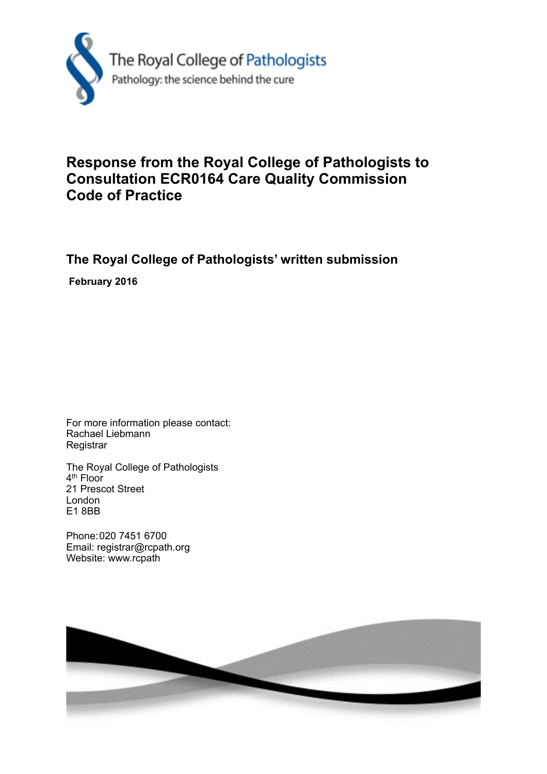

## **Response from the Royal College of Pathologists to Consultation ECR0164 Care Quality Commission Code of Practice**

## **The Royal College of Pathologists' written submission**

 **February 2016**

For more information please contact: Rachael Liebmann **Registrar** 

The Royal College of Pathologists 4<sup>th</sup> Floor 21 Prescot Street London E1 8BB

Phone: 020 7451 6700 Email: registrar@rcpath.org Website: www.rcpath